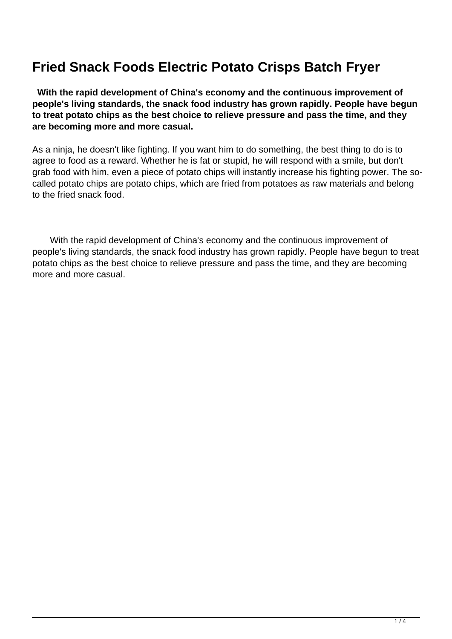## **Fried Snack Foods Electric Potato Crisps Batch Fryer**

 **With the rapid development of China's economy and the continuous improvement of people's living standards, the snack food industry has grown rapidly. People have begun to treat potato chips as the best choice to relieve pressure and pass the time, and they are becoming more and more casual.**

As a ninja, he doesn't like fighting. If you want him to do something, the best thing to do is to agree to food as a reward. Whether he is fat or stupid, he will respond with a smile, but don't grab food with him, even a piece of potato chips will instantly increase his fighting power. The socalled potato chips are potato chips, which are fried from potatoes as raw materials and belong to the fried snack food.

 With the rapid development of China's economy and the continuous improvement of people's living standards, the snack food industry has grown rapidly. People have begun to treat potato chips as the best choice to relieve pressure and pass the time, and they are becoming more and more casual.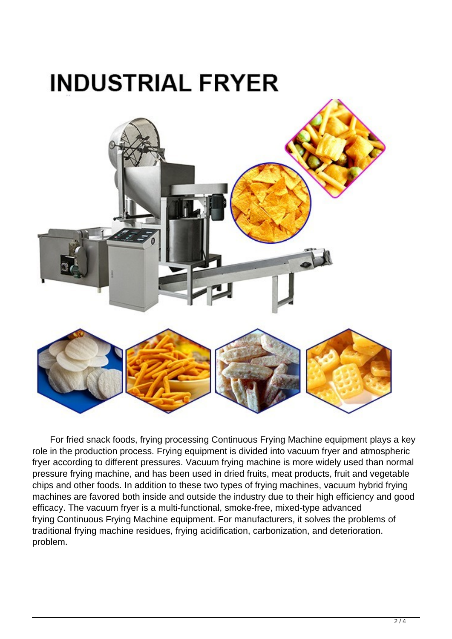

 For fried snack foods, frying processing Continuous Frying Machine equipment plays a key role in the production process. Frying equipment is divided into vacuum fryer and atmospheric fryer according to different pressures. Vacuum frying machine is more widely used than normal pressure frying machine, and has been used in dried fruits, meat products, fruit and vegetable chips and other foods. In addition to these two types of frying machines, vacuum hybrid frying machines are favored both inside and outside the industry due to their high efficiency and good efficacy. The vacuum fryer is a multi-functional, smoke-free, mixed-type advanced frying Continuous Frying Machine equipment. For manufacturers, it solves the problems of traditional frying machine residues, frying acidification, carbonization, and deterioration. problem.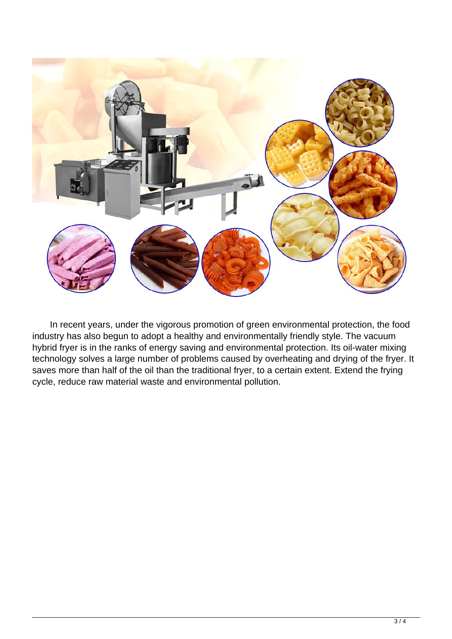

 In recent years, under the vigorous promotion of green environmental protection, the food industry has also begun to adopt a healthy and environmentally friendly style. The vacuum hybrid fryer is in the ranks of energy saving and environmental protection. Its oil-water mixing technology solves a large number of problems caused by overheating and drying of the fryer. It saves more than half of the oil than the traditional fryer, to a certain extent. Extend the frying cycle, reduce raw material waste and environmental pollution.